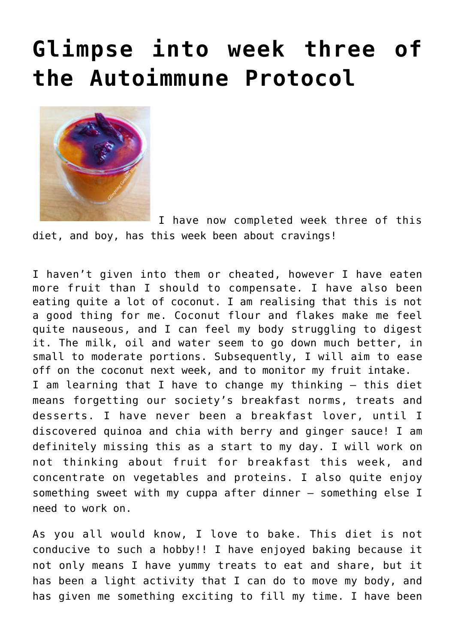## **[Glimpse into week three of](https://www.glimpsinggembles.com/2014/09/05/glimpse-into-week-three-of-the-autoimmune-protocol/) [the Autoimmune Protocol](https://www.glimpsinggembles.com/2014/09/05/glimpse-into-week-three-of-the-autoimmune-protocol/)**



I have now completed week three of this diet, and boy, has this week been about cravings!

I haven't given into them or cheated, however I have eaten more fruit than I should to compensate. I have also been eating quite a lot of coconut. I am realising that this is not a good thing for me. Coconut flour and flakes make me feel quite nauseous, and I can feel my body struggling to digest it. The milk, oil and water seem to go down much better, in small to moderate portions. Subsequently, I will aim to ease off on the coconut next week, and to monitor my fruit intake. I am learning that I have to change my thinking – this diet means forgetting our society's breakfast norms, treats and desserts. I have never been a breakfast lover, until I discovered quinoa and chia with berry and ginger sauce! I am definitely missing this as a start to my day. I will work on not thinking about fruit for breakfast this week, and concentrate on vegetables and proteins. I also quite enjoy something sweet with my cuppa after dinner – something else I need to work on.

As you all would know, I love to bake. This diet is not conducive to such a hobby!! I have enjoyed baking because it not only means I have yummy treats to eat and share, but it has been a light activity that I can do to move my body, and has given me something exciting to fill my time. I have been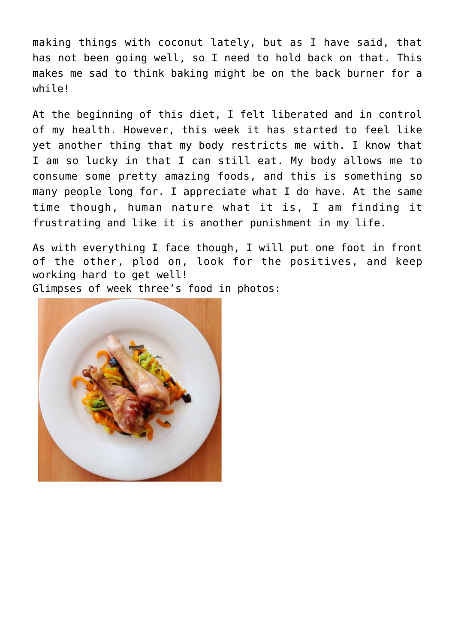making things with coconut lately, but as I have said, that has not been going well, so I need to hold back on that. This makes me sad to think baking might be on the back burner for a while!

At the beginning of this diet, I felt liberated and in control of my health. However, this week it has started to feel like yet another thing that my body restricts me with. I know that I am so lucky in that I can still eat. My body allows me to consume some pretty amazing foods, and this is something so many people long for. I appreciate what I do have. At the same time though, human nature what it is, I am finding it frustrating and like it is another punishment in my life.

As with everything I face though, I will put one foot in front of the other, plod on, look for the positives, and keep working hard to get well!

Glimpses of week three's food in photos:

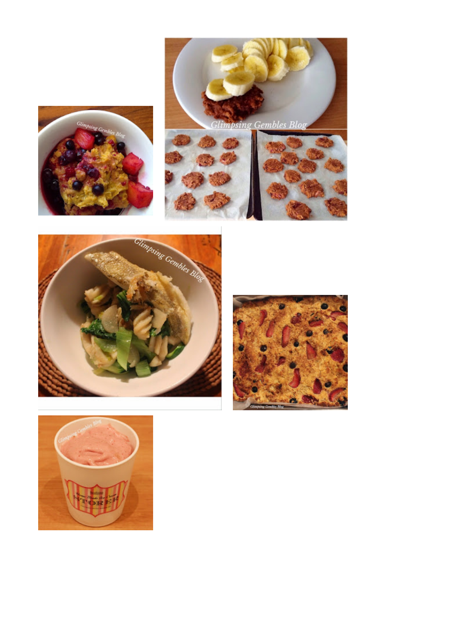